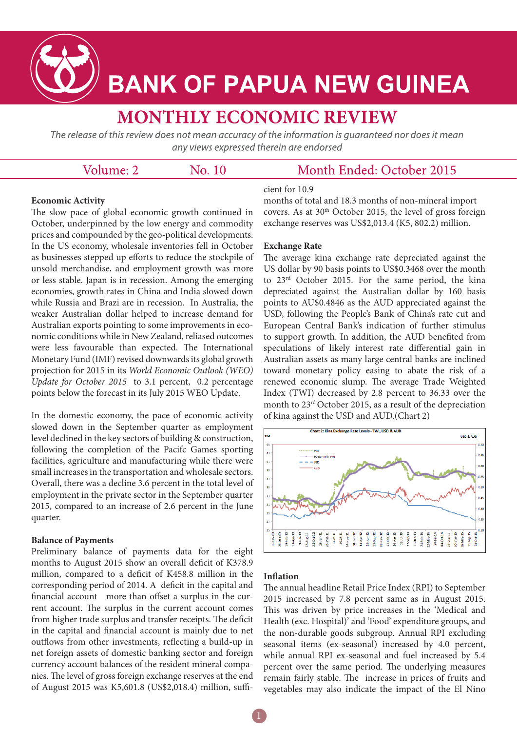

# **BANK OF PAPUA NEW GUINEA**

# **MONTHLY ECONOMIC REVIEW**

The release of this review does not mean accuracy of the information is guaranteed nor does it mean any views expressed therein are endorsed

| Volume: 2<br>No. 10 | Month Ended: October 2015 |
|---------------------|---------------------------|
|---------------------|---------------------------|

### **Economic Activity**

The slow pace of global economic growth continued in October, underpinned by the low energy and commodity prices and compounded by the geo-political developments. In the US economy, wholesale inventories fell in October as businesses stepped up efforts to reduce the stockpile of unsold merchandise, and employment growth was more or less stable. Japan is in recession. Among the emerging economies, growth rates in China and India slowed down while Russia and Brazi are in recession. In Australia, the weaker Australian dollar helped to increase demand for Australian exports pointing to some improvements in economic conditions while in New Zealand, reliased outcomes were less favourable than expected. The International Monetary Fund (IMF) revised downwards its global growth projection for 2015 in its *World Economic Outlook (WEO) Update for October 2015* to 3.1 percent, 0.2 percentage points below the forecast in its July 2015 WEO Update.

In the domestic economy, the pace of economic activity slowed down in the September quarter as employment level declined in the key sectors of building & construction, following the completion of the Pacifc Games sporting facilities, agriculture and manufacturing while there were small increases in the transportation and wholesale sectors. Overall, there was a decline 3.6 percent in the total level of employment in the private sector in the September quarter 2015, compared to an increase of 2.6 percent in the June quarter.

#### **Balance of Payments**

Preliminary balance of payments data for the eight months to August 2015 show an overall deficit of K378.9 million, compared to a deficit of K458.8 million in the corresponding period of 2014. A deficit in the capital and financial account more than offset a surplus in the current account. The surplus in the current account comes from higher trade surplus and transfer receipts. The deficit in the capital and financial account is mainly due to net outflows from other investments, reflecting a build-up in net foreign assets of domestic banking sector and foreign currency account balances of the resident mineral companies. The level of gross foreign exchange reserves at the end of August 2015 was K5,601.8 (US\$2,018.4) million, suffi-

# cient for 10.9

months of total and 18.3 months of non-mineral import covers. As at 30<sup>th</sup> October 2015, the level of gross foreign exchange reserves was US\$2,013.4 (K5, 802.2) million.

#### **Exchange Rate**

The average kina exchange rate depreciated against the US dollar by 90 basis points to US\$0.3468 over the month to 23rd October 2015. For the same period, the kina depreciated against the Australian dollar by 160 basis points to AU\$0.4846 as the AUD appreciated against the USD, following the People's Bank of China's rate cut and European Central Bank's indication of further stimulus to support growth. In addition, the AUD benefited from speculations of likely interest rate differential gain in Australian assets as many large central banks are inclined toward monetary policy easing to abate the risk of a renewed economic slump. The average Trade Weighted Index (TWI) decreased by 2.8 percent to 36.33 over the month to 23rd October 2015, as a result of the depreciation of kina against the USD and AUD.(Chart 2)



# **Inflation**

The annual headline Retail Price Index (RPI) to September 2015 increased by 7.8 percent same as in August 2015. This was driven by price increases in the 'Medical and Health (exc. Hospital)' and 'Food' expenditure groups, and the non-durable goods subgroup. Annual RPI excluding seasonal items (ex-seasonal) increased by 4.0 percent, while annual RPI ex-seasonal and fuel increased by 5.4 percent over the same period. The underlying measures remain fairly stable. The increase in prices of fruits and vegetables may also indicate the impact of the El Nino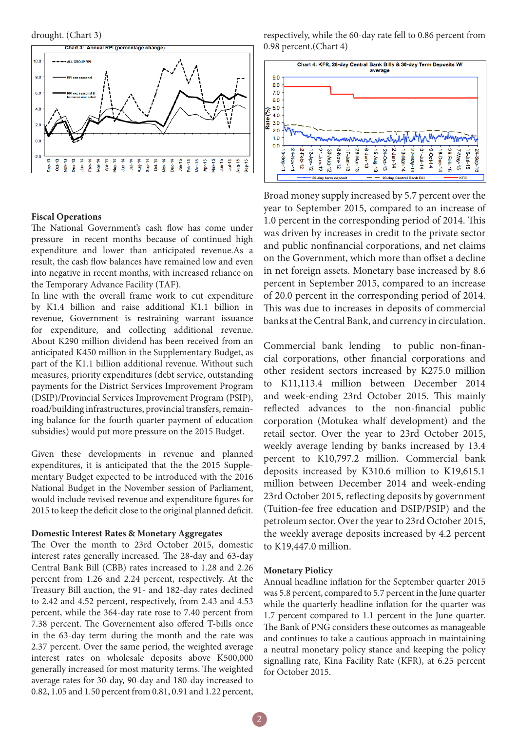drought. (Chart 3)



# respectively, while the 60-day rate fell to 0.86 percent from 0.98 percent.(Chart 4)



#### **Fiscal Operations**

The National Government's cash flow has come under pressure in recent months because of continued high expenditure and lower than anticipated revenue.As a result, the cash flow balances have remained low and even into negative in recent months, with increased reliance on the Temporary Advance Facility (TAF).

In line with the overall frame work to cut expenditure by K1.4 billion and raise additional K1.1 billion in revenue, Government is restraining warrant issuance for expenditure, and collecting additional revenue. About K290 million dividend has been received from an anticipated K450 million in the Supplementary Budget, as part of the K1.1 billion additional revenue. Without such measures, priority expenditures (debt service, outstanding payments for the District Services Improvement Program (DSIP)/Provincial Services Improvement Program (PSIP), road/building infrastructures, provincial transfers, remaining balance for the fourth quarter payment of education subsidies) would put more pressure on the 2015 Budget.

Given these developments in revenue and planned expenditures, it is anticipated that the the 2015 Supplementary Budget expected to be introduced with the 2016 National Budget in the November session of Parliament, would include revised revenue and expenditure figures for 2015 to keep the deficit close to the original planned deficit.

#### **Domestic Interest Rates & Monetary Aggregates**

The Over the month to 23rd October 2015, domestic interest rates generally increased. The 28-day and 63-day Central Bank Bill (CBB) rates increased to 1.28 and 2.26 percent from 1.26 and 2.24 percent, respectively. At the Treasury Bill auction, the 91- and 182-day rates declined to 2.42 and 4.52 percent, respectively, from 2.43 and 4.53 percent, while the 364-day rate rose to 7.40 percent from 7.38 percent. The Governement also offered T-bills once in the 63-day term during the month and the rate was 2.37 percent. Over the same period, the weighted average interest rates on wholesale deposits above K500,000 generally increased for most maturity terms. The weighted average rates for 30-day, 90-day and 180-day increased to 0.82, 1.05 and 1.50 percent from 0.81, 0.91 and 1.22 percent,

Broad money supply increased by 5.7 percent over the year to September 2015, compared to an increase of 1.0 percent in the corresponding period of 2014. This was driven by increases in credit to the private sector and public nonfinancial corporations, and net claims on the Government, which more than offset a decline in net foreign assets. Monetary base increased by 8.6 percent in September 2015, compared to an increase of 20.0 percent in the corresponding period of 2014. This was due to increases in deposits of commercial banks at the Central Bank, and currency in circulation.

Commercial bank lending to public non-financial corporations, other financial corporations and other resident sectors increased by K275.0 million to K11,113.4 million between December 2014 and week-ending 23rd October 2015. This mainly reflected advances to the non-financial public corporation (Motukea whalf development) and the retail sector. Over the year to 23rd October 2015, weekly average lending by banks increased by 13.4 percent to K10,797.2 million. Commercial bank deposits increased by K310.6 million to K19,615.1 million between December 2014 and week-ending 23rd October 2015, reflecting deposits by government (Tuition-fee free education and DSIP/PSIP) and the petroleum sector. Over the year to 23rd October 2015, the weekly average deposits increased by 4.2 percent to K19,447.0 million.

#### **Monetary Piolicy**

Annual headline inflation for the September quarter 2015 was 5.8 percent, compared to 5.7 percent in the June quarter while the quarterly headline inflation for the quarter was 1.7 percent compared to 1.1 percent in the June quarter. The Bank of PNG considers these outcomes as manageable and continues to take a cautious approach in maintaining a neutral monetary policy stance and keeping the policy signalling rate, Kina Facility Rate (KFR), at 6.25 percent for October 2015.